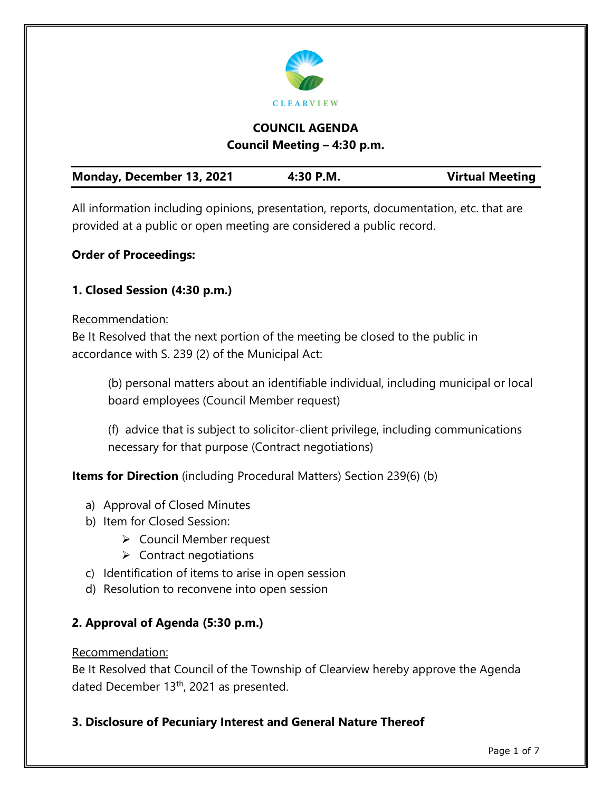

# **COUNCIL AGENDA Council Meeting – 4:30 p.m.**

| Monday, December 13, 2021<br><b>Virtual Meeting</b><br>4:30 P.M. |  |
|------------------------------------------------------------------|--|
|------------------------------------------------------------------|--|

All information including opinions, presentation, reports, documentation, etc. that are provided at a public or open meeting are considered a public record.

# **Order of Proceedings:**

# **1. Closed Session (4:30 p.m.)**

### Recommendation:

Be It Resolved that the next portion of the meeting be closed to the public in accordance with S. 239 (2) of the Municipal Act:

(b) personal matters about an identifiable individual, including municipal or local board employees (Council Member request)

(f) advice that is subject to solicitor-client privilege, including communications necessary for that purpose (Contract negotiations)

**Items for Direction** (including Procedural Matters) Section 239(6) (b)

- a) Approval of Closed Minutes
- b) Item for Closed Session:
	- Council Member request
	- $\triangleright$  Contract negotiations
- c) Identification of items to arise in open session
- d) Resolution to reconvene into open session

# **2. Approval of Agenda (5:30 p.m.)**

### Recommendation:

Be It Resolved that Council of the Township of Clearview hereby approve the Agenda dated December 13<sup>th</sup>, 2021 as presented.

# **3. Disclosure of Pecuniary Interest and General Nature Thereof**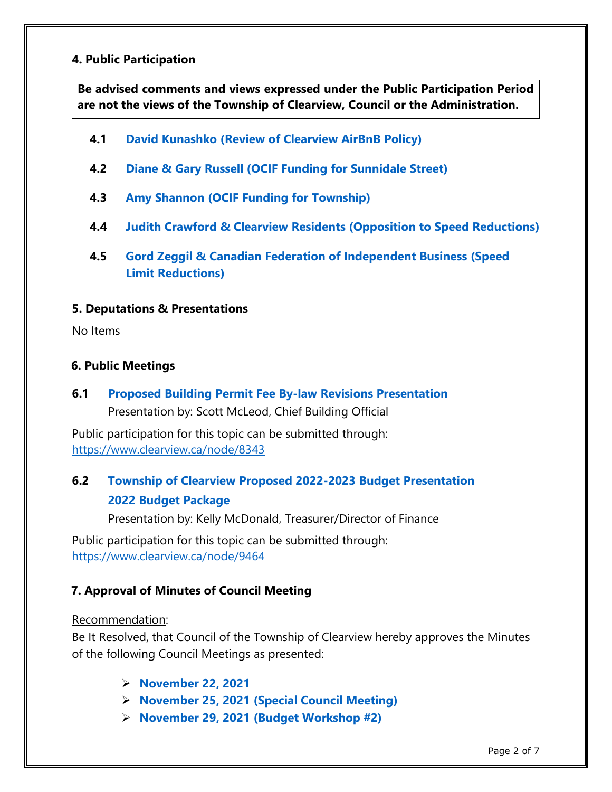#### **4. Public Participation**

**Be advised comments and views expressed under the Public Participation Period are not the views of the Township of Clearview, Council or the Administration.**

- **4.1 [David Kunashko \(Review of Clearview AirBnB Policy\)](https://www.clearview.ca/sites/default/files/uploads/publications/4.1_david_kunashko_airbnb_policy_review.pdf)**
- **4.2 [Diane & Gary Russell \(OCIF Funding for Sunnidale Street\)](https://www.clearview.ca/sites/default/files/uploads/publications/4.2_diane_and_gary_russell_ocif_funding_for_sunnidale_st_0.pdf)**
- **4.3 [Amy Shannon \(OCIF Funding for Township\)](https://www.clearview.ca/sites/default/files/uploads/publications/4.3_amy_shannon_ocif_funding.pdf)**
- **4.4 [Judith Crawford & Clearview Residents \(Opposition to Speed Reductions\)](https://www.clearview.ca/sites/default/files/uploads/publications/4.4_judith_crawford_clearview_residents_opposition_to_speed_reductions.pdf)**
- **4.5 Gord Zeggil [& Canadian Federation of Independent Business \(Speed](https://www.clearview.ca/sites/default/files/uploads/publications/4.5_gord_zeggil_speed_limit_reductions.pdf)  [Limit Reductions\)](https://www.clearview.ca/sites/default/files/uploads/publications/4.5_gord_zeggil_speed_limit_reductions.pdf)**

#### **5. Deputations & Presentations**

No Items

### **6. Public Meetings**

**6.1 [Proposed Building Permit](https://www.clearview.ca/sites/default/files/uploads/publications/6.1_proposed_building_permit_fee_by-law_revisions.pdf) Fee By-law Revisions Presentation** Presentation by: Scott McLeod, Chief Building Official

Public participation for this topic can be submitted through: <https://www.clearview.ca/node/8343>

# **6.2 [Township of Clearview Proposed 2022-2023](https://www.clearview.ca/sites/default/files/uploads/publications/6.2_2022_budget_presentation.pdf) Budget Presentation [2022 Budget Package](https://www.clearview.ca/sites/default/files/uploads/publications/6.2_2022_budget_package.pdf)**

Presentation by: Kelly McDonald, Treasurer/Director of Finance

Public participation for this topic can be submitted through: <https://www.clearview.ca/node/9464>

# **7. Approval of Minutes of Council Meeting**

#### Recommendation:

Be It Resolved, that Council of the Township of Clearview hereby approves the Minutes of the following Council Meetings as presented:

- **[November 22, 2021](https://www.clearview.ca/sites/default/files/uploads/publications/7_november_22_minutes.pdf)**
- **[November 25, 2021 \(Special Council Meeting\)](https://www.clearview.ca/sites/default/files/uploads/publications/7_november_25_special_meeting.pdf)**
- **[November 29, 2021 \(Budget Workshop #2\)](https://www.clearview.ca/sites/default/files/uploads/publications/7_november_29_budget_meeting_2.pdf)**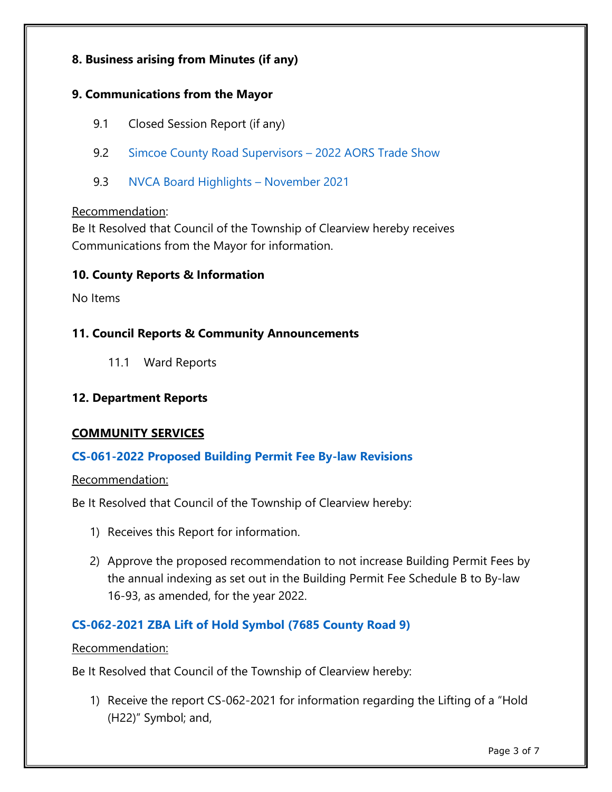### **8. Business arising from Minutes (if any)**

### **9. Communications from the Mayor**

- 9.1 Closed Session Report (if any)
- 9.2 [Simcoe County Road Supervisors –](https://www.clearview.ca/sites/default/files/uploads/publications/9.2_simcoe_county_road_supervisors_-_2022_aors_trade_show.pdf) 2022 AORS Trade Show
- 9.3 [NVCA Board Highlights –](https://www.clearview.ca/sites/default/files/uploads/publications/9.3_nvca_board_highlights_-_november_2021.pdf) November 2021

#### Recommendation:

Be It Resolved that Council of the Township of Clearview hereby receives Communications from the Mayor for information.

### **10. County Reports & Information**

No Items

### **11. Council Reports & Community Announcements**

11.1 Ward Reports

### **12. Department Reports**

### **COMMUNITY SERVICES**

### **[CS-061-2022 Proposed Building Permit Fee By-law Revisions](https://www.clearview.ca/sites/default/files/uploads/publications/cs-061-2021_proposed_building_permit_fee_by-law_revisions.pdf)**

#### Recommendation:

Be It Resolved that Council of the Township of Clearview hereby:

- 1) Receives this Report for information.
- 2) Approve the proposed recommendation to not increase Building Permit Fees by the annual indexing as set out in the Building Permit Fee Schedule B to By-law 16-93, as amended, for the year 2022.

# **CS-062-2021 [ZBA Lift of Hold Symbol](https://www.clearview.ca/sites/default/files/uploads/publications/cs-062-2021_-_dms_metals_-_lift_hold.pdf) (7685 County Road 9)**

#### Recommendation:

Be It Resolved that Council of the Township of Clearview hereby:

1) Receive the report CS-062-2021 for information regarding the Lifting of a "Hold (H22)" Symbol; and,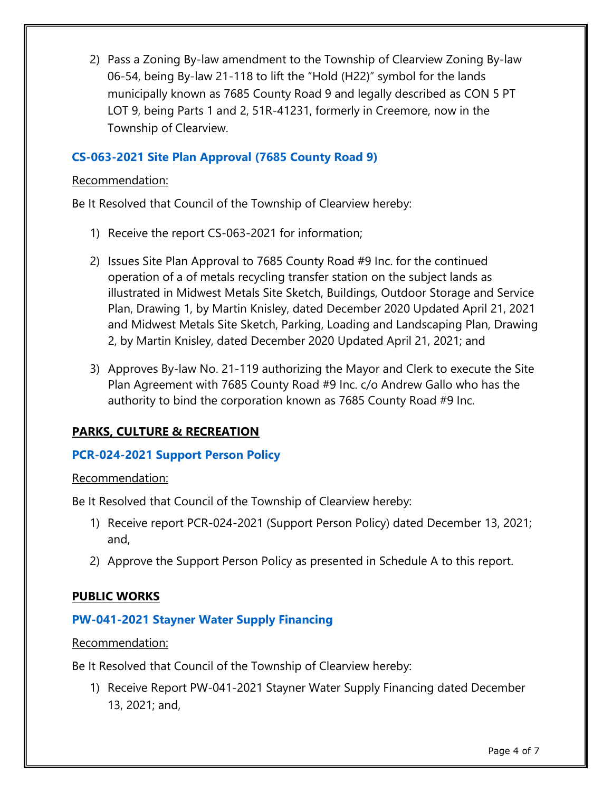2) Pass a Zoning By-law amendment to the Township of Clearview Zoning By-law 06-54, being By-law 21-118 to lift the "Hold (H22)" symbol for the lands municipally known as 7685 County Road 9 and legally described as CON 5 PT LOT 9, being Parts 1 and 2, 51R-41231, formerly in Creemore, now in the Township of Clearview.

# **[CS-063-2021 Site Plan Approval \(7685 County Road 9\)](https://www.clearview.ca/sites/default/files/uploads/publications/cs-063-2021_-_dms_metals_former_midwest.pdf)**

### Recommendation:

Be It Resolved that Council of the Township of Clearview hereby:

- 1) Receive the report CS-063-2021 for information;
- 2) Issues Site Plan Approval to 7685 County Road #9 Inc. for the continued operation of a of metals recycling transfer station on the subject lands as illustrated in Midwest Metals Site Sketch, Buildings, Outdoor Storage and Service Plan, Drawing 1, by Martin Knisley, dated December 2020 Updated April 21, 2021 and Midwest Metals Site Sketch, Parking, Loading and Landscaping Plan, Drawing 2, by Martin Knisley, dated December 2020 Updated April 21, 2021; and
- 3) Approves By-law No. 21-119 authorizing the Mayor and Clerk to execute the Site Plan Agreement with 7685 County Road #9 Inc. c/o Andrew Gallo who has the authority to bind the corporation known as 7685 County Road #9 Inc.

# **PARKS, CULTURE & RECREATION**

# **[PCR-024-2021 Support Person Policy](https://www.clearview.ca/sites/default/files/uploads/publications/pcr-024-2021_support_person_policy.pdf)**

### Recommendation:

Be It Resolved that Council of the Township of Clearview hereby:

- 1) Receive report PCR-024-2021 (Support Person Policy) dated December 13, 2021; and,
- 2) Approve the Support Person Policy as presented in Schedule A to this report.

# **PUBLIC WORKS**

# **[PW-041-2021 Stayner Water Supply Financing](https://www.clearview.ca/sites/default/files/uploads/publications/pw-041-2021_stayner_water_supply_financing_0.pdf)**

### Recommendation:

Be It Resolved that Council of the Township of Clearview hereby:

1) Receive Report PW-041-2021 Stayner Water Supply Financing dated December 13, 2021; and,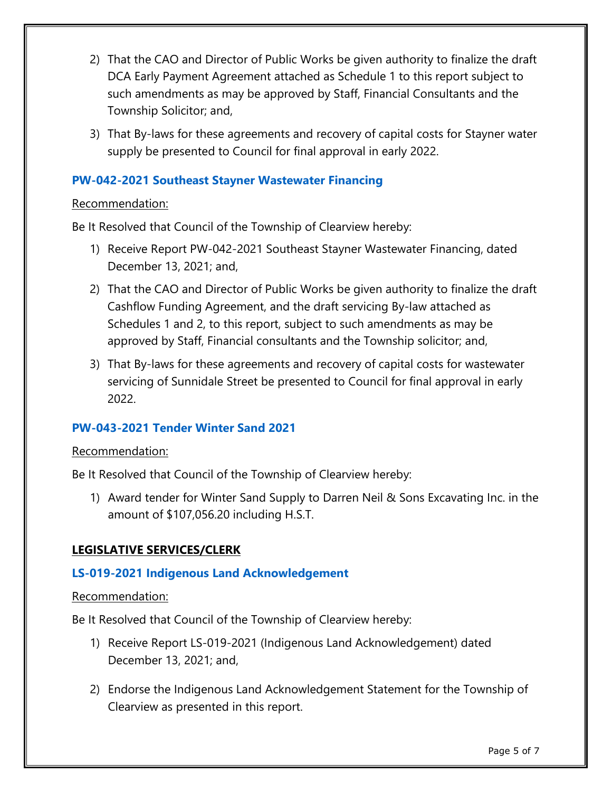- 2) That the CAO and Director of Public Works be given authority to finalize the draft DCA Early Payment Agreement attached as Schedule 1 to this report subject to such amendments as may be approved by Staff, Financial Consultants and the Township Solicitor; and,
- 3) That By-laws for these agreements and recovery of capital costs for Stayner water supply be presented to Council for final approval in early 2022.

### **[PW-042-2021 Southeast Stayner Wastewater Financing](https://www.clearview.ca/sites/default/files/uploads/publications/pw-042-2021_southeast_stayner_wastewater_financing.pdf)**

### Recommendation:

Be It Resolved that Council of the Township of Clearview hereby:

- 1) Receive Report PW-042-2021 Southeast Stayner Wastewater Financing, dated December 13, 2021; and,
- 2) That the CAO and Director of Public Works be given authority to finalize the draft Cashflow Funding Agreement, and the draft servicing By-law attached as Schedules 1 and 2, to this report, subject to such amendments as may be approved by Staff, Financial consultants and the Township solicitor; and,
- 3) That By-laws for these agreements and recovery of capital costs for wastewater servicing of Sunnidale Street be presented to Council for final approval in early 2022.

### **[PW-043-2021 Tender Winter Sand 2021](https://www.clearview.ca/sites/default/files/uploads/publications/pw-043-2021_winter_sand_tender_award.pdf)**

#### Recommendation:

Be It Resolved that Council of the Township of Clearview hereby:

1) Award tender for Winter Sand Supply to Darren Neil & Sons Excavating Inc. in the amount of \$107,056.20 including H.S.T.

### **LEGISLATIVE SERVICES/CLERK**

### **[LS-019-2021 Indigenous Land Acknowledgement](https://www.clearview.ca/sites/default/files/uploads/publications/ls-019-2021_indigenous_land_acknowledgement.pdf)**

#### Recommendation:

Be It Resolved that Council of the Township of Clearview hereby:

- 1) Receive Report LS-019-2021 (Indigenous Land Acknowledgement) dated December 13, 2021; and,
- 2) Endorse the Indigenous Land Acknowledgement Statement for the Township of Clearview as presented in this report.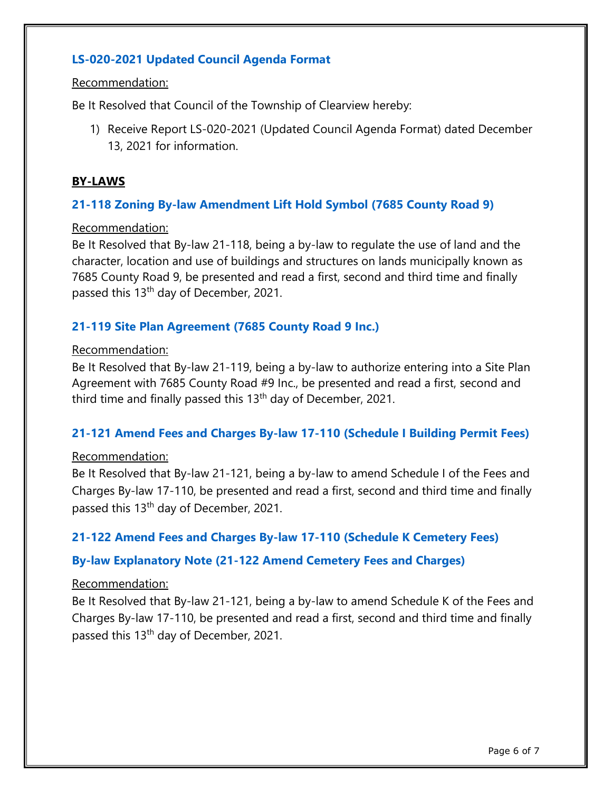# **[LS-020-2021 Updated Council Agenda Format](https://www.clearview.ca/sites/default/files/uploads/publications/ls-020-2021_updated_council_agenda_format.pdf)**

#### Recommendation:

Be It Resolved that Council of the Township of Clearview hereby:

1) Receive Report LS-020-2021 (Updated Council Agenda Format) dated December 13, 2021 for information.

### **BY-LAWS**

### **[21-118 Zoning By-law Amendment Lift Hold Symbol \(7685 County Road 9\)](https://www.clearview.ca/sites/default/files/uploads/publications/by-law_21-118_zba_lift_hold_symbol_7685_county_road_9.pdf)**

#### Recommendation:

Be It Resolved that By-law 21-118, being a by-law to regulate the use of land and the character, location and use of buildings and structures on lands municipally known as 7685 County Road 9, be presented and read a first, second and third time and finally passed this 13<sup>th</sup> day of December, 2021.

### **[21-119 Site Plan Agreement \(7685 County Road 9 Inc.\)](https://www.clearview.ca/sites/default/files/uploads/publications/by-law_21-119_site_plan_agreement_7685_county_road_9.pdf)**

#### Recommendation:

Be It Resolved that By-law 21-119, being a by-law to authorize entering into a Site Plan Agreement with 7685 County Road #9 Inc., be presented and read a first, second and third time and finally passed this  $13<sup>th</sup>$  day of December, 2021.

### **[21-121 Amend Fees and Charges By-law 17-110 \(Schedule I Building Permit Fees\)](https://www.clearview.ca/sites/default/files/uploads/publications/by-law_21-121_amend_fees_and_charges_by-law_17-110_schedule_i.pdf)**

#### Recommendation:

Be It Resolved that By-law 21-121, being a by-law to amend Schedule I of the Fees and Charges By-law 17-110, be presented and read a first, second and third time and finally passed this 13<sup>th</sup> day of December, 2021.

### **[21-122 Amend Fees and Charges By-law 17-110 \(Schedule K Cemetery Fees\)](https://www.clearview.ca/sites/default/files/uploads/publications/by-law_21-122_amend_fees_charges_by-law_17-110_schedule_k.pdf)**

### **[By-law Explanatory Note \(21-122 Amend Cemetery Fees and Charges\)](https://www.clearview.ca/sites/default/files/uploads/publications/by-law_21-122_by-law_explanatory_note.pdf)**

#### Recommendation:

Be It Resolved that By-law 21-121, being a by-law to amend Schedule K of the Fees and Charges By-law 17-110, be presented and read a first, second and third time and finally passed this 13<sup>th</sup> day of December, 2021.